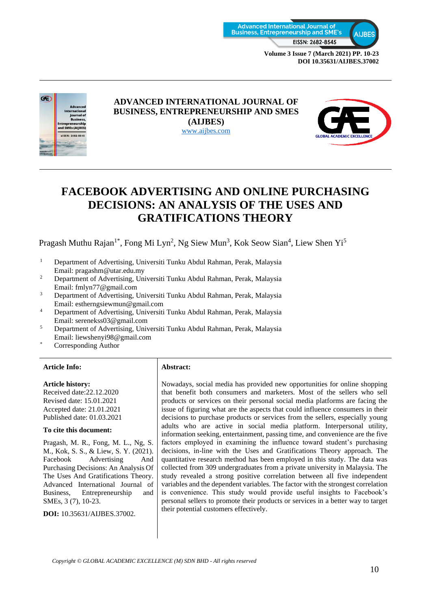

**DOI 10.35631/AIJBES.37002**



#### **ADVANCED INTERNATIONAL JOURNAL OF BUSINESS, ENTREPRENEURSHIP AND SMES (AIJBES)** [www.aijbes.com](http://www.aijbes.com/)



# **FACEBOOK ADVERTISING AND ONLINE PURCHASING DECISIONS: AN ANALYSIS OF THE USES AND GRATIFICATIONS THEORY**

Pragash Muthu Rajan<sup>1\*</sup>, Fong Mi Lyn<sup>2</sup>, Ng Siew Mun<sup>3</sup>, Kok Seow Sian<sup>4</sup>, Liew Shen Yi<sup>5</sup>

- <sup>1</sup> Department of Advertising, Universiti Tunku Abdul Rahman, Perak, Malaysia Email: pragashm@utar.edu.my
- <sup>2</sup> Department of Advertising, Universiti Tunku Abdul Rahman, Perak, Malaysia Email: fmlyn77@gmail.com
- 3 Department of Advertising, Universiti Tunku Abdul Rahman, Perak, Malaysia Email: estherngsiewmun@gmail.com
- 4 Department of Advertising, Universiti Tunku Abdul Rahman, Perak, Malaysia Email: serenekss03@gmail.com
- 5 Department of Advertising, Universiti Tunku Abdul Rahman, Perak, Malaysia Email: liewshenyi98@gmail.com
- Corresponding Author

#### **Article Info: Abstract:**

#### **Article history:**

Received date:22.12.2020 Revised date: 15.01.2021 Accepted date: 21.01.2021 Published date: 01.03.2021

#### **To cite this document:**

Pragash, M. R., Fong, M. L., Ng, S. M., Kok, S. S., & Liew, S. Y. (2021). Facebook Advertising And Purchasing Decisions: An Analysis Of The Uses And Gratifications Theory. Advanced International Journal of Business, Entrepreneurship and SMEs, 3 (7), 10-23.

**DOI:** 10.35631/AIJBES.37002.

Nowadays, social media has provided new opportunities for online shopping that benefit both consumers and marketers. Most of the sellers who sell products or services on their personal social media platforms are facing the issue of figuring what are the aspects that could influence consumers in their decisions to purchase products or services from the sellers, especially young adults who are active in social media platform. Interpersonal utility, information seeking, entertainment, passing time, and convenience are the five factors employed in examining the influence toward student's purchasing decisions, in-line with the Uses and Gratifications Theory approach. The quantitative research method has been employed in this study. The data was collected from 309 undergraduates from a private university in Malaysia. The study revealed a strong positive correlation between all five independent variables and the dependent variables. The factor with the strongest correlation is convenience. This study would provide useful insights to Facebook's personal sellers to promote their products or services in a better way to target their potential customers effectively.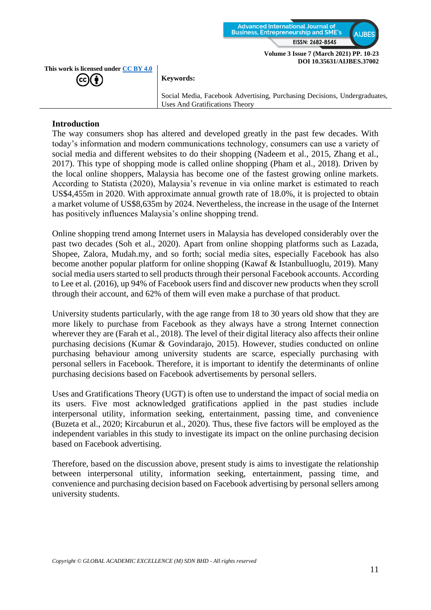

**This work is licensed under [CC BY 4.0](https://creativecommons.org/licenses/by/4.0/?ref=chooser-v1)** (cc

**Keywords:**

Social Media, Facebook Advertising, Purchasing Decisions, Undergraduates, Uses And Gratifications Theory

#### **Introduction**

The way consumers shop has altered and developed greatly in the past few decades. With today's information and modern communications technology, consumers can use a variety of social media and different websites to do their shopping (Nadeem et al., 2015, Zhang et al., 2017). This type of shopping mode is called online shopping (Pham et al., 2018). Driven by the local online shoppers, Malaysia has become one of the fastest growing online markets. According to Statista (2020), Malaysia's revenue in via online market is estimated to reach US\$4,455m in 2020. With approximate annual growth rate of 18.0%, it is projected to obtain a market volume of US\$8,635m by 2024. Nevertheless, the increase in the usage of the Internet has positively influences Malaysia's online shopping trend.

Online shopping trend among Internet users in Malaysia has developed considerably over the past two decades (Soh et al., 2020). Apart from online shopping platforms such as Lazada, Shopee, Zalora, Mudah.my, and so forth; social media sites, especially Facebook has also become another popular platform for online shopping (Kawaf & Istanbulluoglu, 2019). Many social media users started to sell products through their personal Facebook accounts. According to Lee et al. (2016), up 94% of Facebook users find and discover new products when they scroll through their account, and 62% of them will even make a purchase of that product.

University students particularly, with the age range from 18 to 30 years old show that they are more likely to purchase from Facebook as they always have a strong Internet connection wherever they are (Farah et al., 2018). The level of their digital literacy also affects their online purchasing decisions (Kumar & Govindarajo, 2015). However, studies conducted on online purchasing behaviour among university students are scarce, especially purchasing with personal sellers in Facebook. Therefore, it is important to identify the determinants of online purchasing decisions based on Facebook advertisements by personal sellers.

Uses and Gratifications Theory (UGT) is often use to understand the impact of social media on its users. Five most acknowledged gratifications applied in the past studies include interpersonal utility, information seeking, entertainment, passing time, and convenience (Buzeta et al., 2020; Kircaburun et al., 2020). Thus, these five factors will be employed as the independent variables in this study to investigate its impact on the online purchasing decision based on Facebook advertising.

Therefore, based on the discussion above, present study is aims to investigate the relationship between interpersonal utility, information seeking, entertainment, passing time, and convenience and purchasing decision based on Facebook advertising by personal sellers among university students.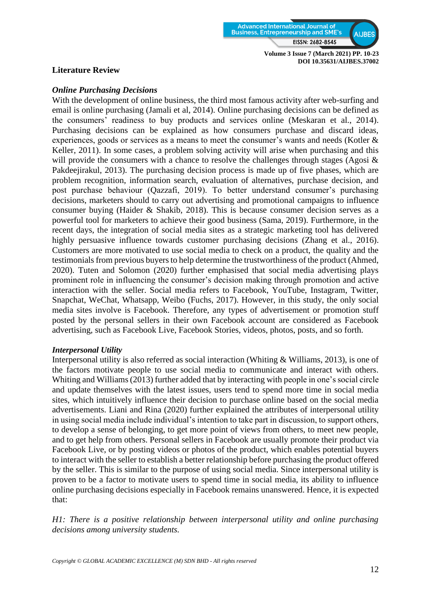

**DOI 10.35631/AIJBES.37002**

#### **Literature Review**

#### *Online Purchasing Decisions*

With the development of online business, the third most famous activity after web-surfing and email is online purchasing (Jamali et al, 2014). Online purchasing decisions can be defined as the consumers' readiness to buy products and services online (Meskaran et al., 2014). Purchasing decisions can be explained as how consumers purchase and discard ideas, experiences, goods or services as a means to meet the consumer's wants and needs (Kotler & Keller, 2011). In some cases, a problem solving activity will arise when purchasing and this will provide the consumers with a chance to resolve the challenges through stages (Agosi  $\&$ Pakdeejirakul, 2013). The purchasing decision process is made up of five phases, which are problem recognition, information search, evaluation of alternatives, purchase decision, and post purchase behaviour (Qazzafi, 2019). To better understand consumer's purchasing decisions, marketers should to carry out advertising and promotional campaigns to influence consumer buying (Haider & Shakib, 2018). This is because consumer decision serves as a powerful tool for marketers to achieve their good business (Sama, 2019). Furthermore, in the recent days, the integration of social media sites as a strategic marketing tool has delivered highly persuasive influence towards customer purchasing decisions (Zhang et al., 2016). Customers are more motivated to use social media to check on a product, the quality and the testimonials from previous buyers to help determine the trustworthiness of the product (Ahmed, 2020). Tuten and Solomon (2020) further emphasised that social media advertising plays prominent role in influencing the consumer's decision making through promotion and active interaction with the seller. Social media refers to Facebook, YouTube, Instagram, Twitter, Snapchat, WeChat, Whatsapp, Weibo (Fuchs, 2017). However, in this study, the only social media sites involve is Facebook. Therefore, any types of advertisement or promotion stuff posted by the personal sellers in their own Facebook account are considered as Facebook advertising, such as Facebook Live, Facebook Stories, videos, photos, posts, and so forth.

#### *Interpersonal Utility*

Interpersonal utility is also referred as social interaction (Whiting & Williams, 2013), is one of the factors motivate people to use social media to communicate and interact with others. Whiting and Williams (2013) further added that by interacting with people in one's social circle and update themselves with the latest issues, users tend to spend more time in social media sites, which intuitively influence their decision to purchase online based on the social media advertisements. Liani and Rina (2020) further explained the attributes of interpersonal utility in using social media include individual's intention to take part in discussion, to support others, to develop a sense of belonging, to get more point of views from others, to meet new people, and to get help from others. Personal sellers in Facebook are usually promote their product via Facebook Live, or by posting videos or photos of the product, which enables potential buyers to interact with the seller to establish a better relationship before purchasing the product offered by the seller. This is similar to the purpose of using social media. Since interpersonal utility is proven to be a factor to motivate users to spend time in social media, its ability to influence online purchasing decisions especially in Facebook remains unanswered. Hence, it is expected that:

*H1: There is a positive relationship between interpersonal utility and online purchasing decisions among university students.*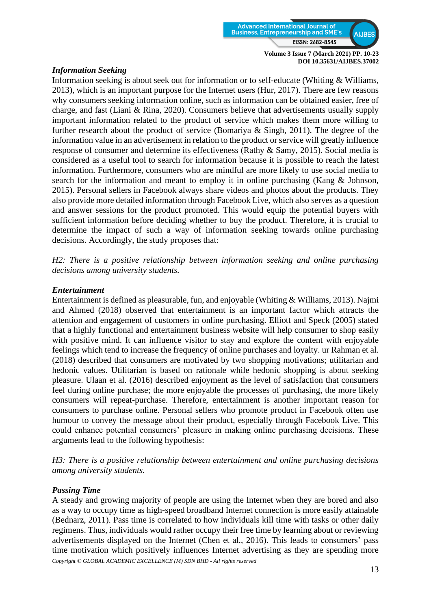

#### *Information Seeking*

Information seeking is about seek out for information or to self-educate (Whiting & Williams, 2013), which is an important purpose for the Internet users (Hur, 2017). There are few reasons why consumers seeking information online, such as information can be obtained easier, free of charge, and fast (Liani & Rina, 2020). Consumers believe that advertisements usually supply important information related to the product of service which makes them more willing to further research about the product of service (Bomariya & Singh, 2011). The degree of the information value in an advertisement in relation to the product or service will greatly influence response of consumer and determine its effectiveness (Rathy & Samy, 2015). Social media is considered as a useful tool to search for information because it is possible to reach the latest information. Furthermore, consumers who are mindful are more likely to use social media to search for the information and meant to employ it in online purchasing (Kang & Johnson, 2015). Personal sellers in Facebook always share videos and photos about the products. They also provide more detailed information through Facebook Live, which also serves as a question and answer sessions for the product promoted. This would equip the potential buyers with sufficient information before deciding whether to buy the product. Therefore, it is crucial to determine the impact of such a way of information seeking towards online purchasing decisions. Accordingly, the study proposes that:

*H2: There is a positive relationship between information seeking and online purchasing decisions among university students.*

#### *Entertainment*

Entertainment is defined as pleasurable, fun, and enjoyable (Whiting & Williams, 2013). Najmi and Ahmed (2018) observed that entertainment is an important factor which attracts the attention and engagement of customers in online purchasing. Elliott and Speck (2005) stated that a highly functional and entertainment business website will help consumer to shop easily with positive mind. It can influence visitor to stay and explore the content with enjoyable feelings which tend to increase the frequency of online purchases and loyalty. ur Rahman et al. (2018) described that consumers are motivated by two shopping motivations; utilitarian and hedonic values. Utilitarian is based on rationale while hedonic shopping is about seeking pleasure. Ulaan et al. (2016) described enjoyment as the level of satisfaction that consumers feel during online purchase; the more enjoyable the processes of purchasing, the more likely consumers will repeat-purchase. Therefore, entertainment is another important reason for consumers to purchase online. Personal sellers who promote product in Facebook often use humour to convey the message about their product, especially through Facebook Live. This could enhance potential consumers' pleasure in making online purchasing decisions. These arguments lead to the following hypothesis:

*H3: There is a positive relationship between entertainment and online purchasing decisions among university students.*

## *Passing Time*

*Copyright © GLOBAL ACADEMIC EXCELLENCE (M) SDN BHD - All rights reserved* A steady and growing majority of people are using the Internet when they are bored and also as a way to occupy time as high-speed broadband Internet connection is more easily attainable (Bednarz, 2011). Pass time is correlated to how individuals kill time with tasks or other daily regimens. Thus, individuals would rather occupy their free time by learning about or reviewing advertisements displayed on the Internet (Chen et al., 2016). This leads to consumers' pass time motivation which positively influences Internet advertising as they are spending more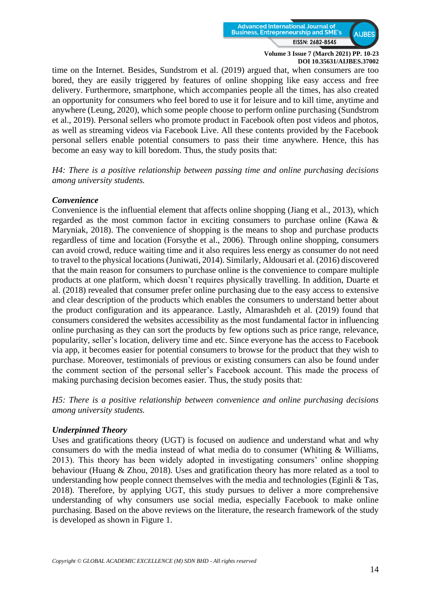

time on the Internet. Besides, Sundstrom et al. (2019) argued that, when consumers are too bored, they are easily triggered by features of online shopping like easy access and free delivery. Furthermore, smartphone, which accompanies people all the times, has also created an opportunity for consumers who feel bored to use it for leisure and to kill time, anytime and anywhere (Leung, 2020), which some people choose to perform online purchasing (Sundstrom et al., 2019). Personal sellers who promote product in Facebook often post videos and photos, as well as streaming videos via Facebook Live. All these contents provided by the Facebook personal sellers enable potential consumers to pass their time anywhere. Hence, this has become an easy way to kill boredom. Thus, the study posits that:

*H4: There is a positive relationship between passing time and online purchasing decisions among university students.*

#### *Convenience*

Convenience is the influential element that affects online shopping (Jiang et al., 2013), which regarded as the most common factor in exciting consumers to purchase online (Kawa & Maryniak, 2018). The convenience of shopping is the means to shop and purchase products regardless of time and location (Forsythe et al., 2006). Through online shopping, consumers can avoid crowd, reduce waiting time and it also requires less energy as consumer do not need to travel to the physical locations (Juniwati, 2014). Similarly, Aldousari et al. (2016) discovered that the main reason for consumers to purchase online is the convenience to compare multiple products at one platform, which doesn't requires physically travelling. In addition, Duarte et al. (2018) revealed that consumer prefer online purchasing due to the easy access to extensive and clear description of the products which enables the consumers to understand better about the product configuration and its appearance. Lastly, Almarashdeh et al. (2019) found that consumers considered the websites accessibility as the most fundamental factor in influencing online purchasing as they can sort the products by few options such as price range, relevance, popularity, seller's location, delivery time and etc. Since everyone has the access to Facebook via app, it becomes easier for potential consumers to browse for the product that they wish to purchase. Moreover, testimonials of previous or existing consumers can also be found under the comment section of the personal seller's Facebook account. This made the process of making purchasing decision becomes easier. Thus, the study posits that:

*H5: There is a positive relationship between convenience and online purchasing decisions among university students.*

#### *Underpinned Theory*

Uses and gratifications theory (UGT) is focused on audience and understand what and why consumers do with the media instead of what media do to consumer (Whiting & Williams, 2013). This theory has been widely adopted in investigating consumers' online shopping behaviour (Huang & Zhou, 2018). Uses and gratification theory has more related as a tool to understanding how people connect themselves with the media and technologies (Eginli  $\&$  Tas, 2018). Therefore, by applying UGT, this study pursues to deliver a more comprehensive understanding of why consumers use social media, especially Facebook to make online purchasing. Based on the above reviews on the literature, the research framework of the study is developed as shown in Figure 1.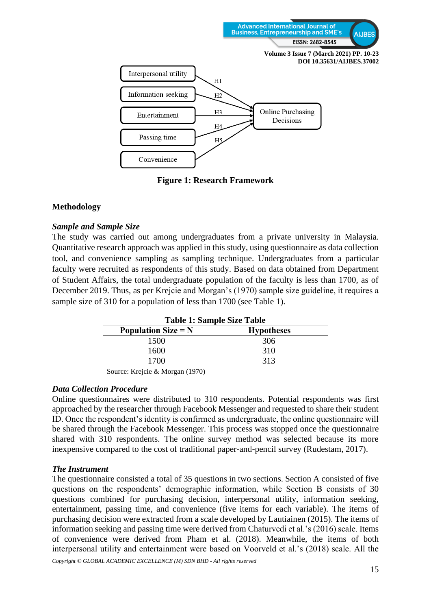

**Figure 1: Research Framework**

## **Methodology**

#### *Sample and Sample Size*

The study was carried out among undergraduates from a private university in Malaysia. Quantitative research approach was applied in this study, using questionnaire as data collection tool, and convenience sampling as sampling technique. Undergraduates from a particular faculty were recruited as respondents of this study. Based on data obtained from Department of Student Affairs, the total undergraduate population of the faculty is less than 1700, as of December 2019. Thus, as per Krejcie and Morgan's (1970) sample size guideline, it requires a sample size of 310 for a population of less than 1700 (see Table 1).

| <b>Table 1: Sample Size Table</b> |                   |  |  |  |
|-----------------------------------|-------------------|--|--|--|
| Population Size $= N$             | <b>Hypotheses</b> |  |  |  |
| 1500                              | 306               |  |  |  |
| 1600                              | 310               |  |  |  |
| 1700                              | 313               |  |  |  |

Source: Krejcie & Morgan (1970)

#### *Data Collection Procedure*

Online questionnaires were distributed to 310 respondents. Potential respondents was first approached by the researcher through Facebook Messenger and requested to share their student ID. Once the respondent's identity is confirmed as undergraduate, the online questionnaire will be shared through the Facebook Messenger. This process was stopped once the questionnaire shared with 310 respondents. The online survey method was selected because its more inexpensive compared to the cost of traditional paper-and-pencil survey (Rudestam, 2017).

## *The Instrument*

The questionnaire consisted a total of 35 questions in two sections. Section A consisted of five questions on the respondents' demographic information, while Section B consists of 30 questions combined for purchasing decision, interpersonal utility, information seeking, entertainment, passing time, and convenience (five items for each variable). The items of purchasing decision were extracted from a scale developed by Lautiainen (2015). The items of information seeking and passing time were derived from Chaturvedi et al.'s (2016) scale. Items of convenience were derived from Pham et al. (2018). Meanwhile, the items of both interpersonal utility and entertainment were based on Voorveld et al.'s (2018) scale. All the

*Copyright © GLOBAL ACADEMIC EXCELLENCE (M) SDN BHD - All rights reserved*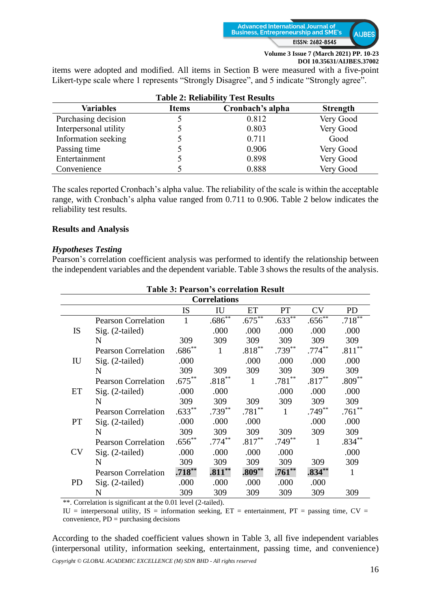

items were adopted and modified. All items in Section B were measured with a five-point Likert-type scale where 1 represents "Strongly Disagree", and 5 indicate "Strongly agree".

| Table 2: Reliability Test Results |              |                  |                 |  |  |  |  |  |
|-----------------------------------|--------------|------------------|-----------------|--|--|--|--|--|
| <b>Variables</b>                  | <b>Items</b> | Cronbach's alpha | <b>Strength</b> |  |  |  |  |  |
| Purchasing decision               |              | 0.812            | Very Good       |  |  |  |  |  |
| Interpersonal utility             |              | 0.803            | Very Good       |  |  |  |  |  |
| Information seeking               |              | 0.711            | Good            |  |  |  |  |  |
| Passing time                      |              | 0.906            | Very Good       |  |  |  |  |  |
| Entertainment                     |              | 0.898            | Very Good       |  |  |  |  |  |
| Convenience                       |              | 0.888            | Very Good       |  |  |  |  |  |

**Table 2: Reliability Test Results**

The scales reported Cronbach's alpha value. The reliability of the scale is within the acceptable range, with Cronbach's alpha value ranged from 0.711 to 0.906. Table 2 below indicates the reliability test results.

#### **Results and Analysis**

#### *Hypotheses Testing*

Pearson's correlation coefficient analysis was performed to identify the relationship between the independent variables and the dependent variable. Table 3 shows the results of the analysis.

| <b>Table 3: Pearson's correlation Result</b><br><b>Correlations</b> |                            |              |           |              |              |              |              |  |  |  |
|---------------------------------------------------------------------|----------------------------|--------------|-----------|--------------|--------------|--------------|--------------|--|--|--|
|                                                                     |                            |              |           |              |              |              |              |  |  |  |
| <b>IS</b>                                                           | <b>Pearson Correlation</b> | $\mathbf{1}$ | $.686***$ | $.675***$    | $.633***$    | $.656^{**}$  | $.718***$    |  |  |  |
|                                                                     | $Sig. (2-tailed)$          |              | .000      | .000         | .000         | .000         | .000         |  |  |  |
|                                                                     | N                          | 309          | 309       | 309          | 309          | 309          | 309          |  |  |  |
| IU                                                                  | <b>Pearson Correlation</b> | $.686^{**}$  | 1         | $.818***$    | $.739^{**}$  | $.774***$    | $.811***$    |  |  |  |
|                                                                     | $Sig. (2-tailed)$          | .000         |           | .000         | .000         | .000         | .000         |  |  |  |
|                                                                     | N                          | 309          | 309       | 309          | 309          | 309          | 309          |  |  |  |
| ET                                                                  | <b>Pearson Correlation</b> | $.675***$    | $.818***$ | $\mathbf{1}$ | $.781**$     | $.817***$    | $.809***$    |  |  |  |
|                                                                     | $Sig. (2-tailed)$          | .000         | .000      |              | .000         | .000         | .000         |  |  |  |
|                                                                     | N                          | 309          | 309       | 309          | 309          | 309          | 309          |  |  |  |
| PT                                                                  | <b>Pearson Correlation</b> | $.633**$     | $.739**$  | $.781**$     | $\mathbf{1}$ | $.749***$    | $.761**$     |  |  |  |
|                                                                     | $Sig. (2-tailed)$          | .000         | .000      | .000         |              | .000         | .000         |  |  |  |
|                                                                     | N                          | 309          | 309       | 309          | 309          | 309          | 309          |  |  |  |
| CV.                                                                 | <b>Pearson Correlation</b> | $.656^{**}$  | $.774***$ | $.817***$    | $.749**$     | $\mathbf{1}$ | $.834***$    |  |  |  |
|                                                                     | $Sig. (2-tailed)$          | .000         | .000      | .000         | .000         |              | .000         |  |  |  |
|                                                                     | N                          | 309          | 309       | 309          | 309          | 309          | 309          |  |  |  |
| PD                                                                  | <b>Pearson Correlation</b> | $.718***$    | $.811***$ | $.809**$     | $.761**$     | $.834**$     | $\mathbf{1}$ |  |  |  |
|                                                                     | $Sig. (2-tailed)$          | .000         | .000      | .000         | .000         | .000         |              |  |  |  |
|                                                                     | N                          | 309          | 309       | 309          | 309          | 309          | 309          |  |  |  |

\*\*. Correlation is significant at the 0.01 level (2-tailed).

IU = interpersonal utility, IS = information seeking,  $ET$  = entertainment,  $PT$  = passing time,  $CV$  = convenience, PD = purchasing decisions

According to the shaded coefficient values shown in Table 3, all five independent variables (interpersonal utility, information seeking, entertainment, passing time, and convenience)

*Copyright © GLOBAL ACADEMIC EXCELLENCE (M) SDN BHD - All rights reserved*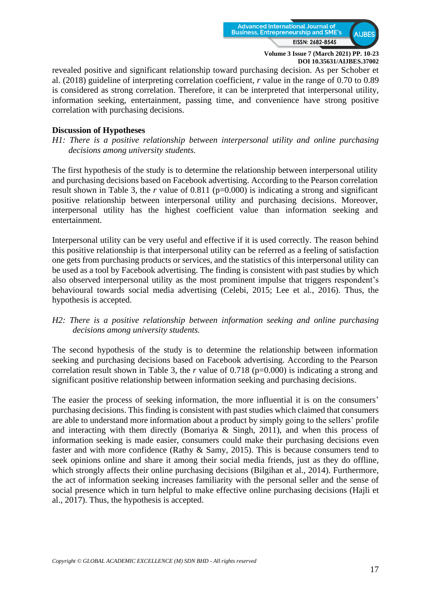

revealed positive and significant relationship toward purchasing decision. As per Schober et al. (2018) guideline of interpreting correlation coefficient, *r* value in the range of 0.70 to 0.89 is considered as strong correlation. Therefore, it can be interpreted that interpersonal utility, information seeking, entertainment, passing time, and convenience have strong positive correlation with purchasing decisions.

#### **Discussion of Hypotheses**

*H1: There is a positive relationship between interpersonal utility and online purchasing decisions among university students.*

The first hypothesis of the study is to determine the relationship between interpersonal utility and purchasing decisions based on Facebook advertising. According to the Pearson correlation result shown in Table 3, the *r* value of 0.811 (p=0.000) is indicating a strong and significant positive relationship between interpersonal utility and purchasing decisions. Moreover, interpersonal utility has the highest coefficient value than information seeking and entertainment.

Interpersonal utility can be very useful and effective if it is used correctly. The reason behind this positive relationship is that interpersonal utility can be referred as a feeling of satisfaction one gets from purchasing products or services, and the statistics of this interpersonal utility can be used as a tool by Facebook advertising. The finding is consistent with past studies by which also observed interpersonal utility as the most prominent impulse that triggers respondent's behavioural towards social media advertising (Celebi, 2015; Lee et al., 2016). Thus, the hypothesis is accepted.

#### *H2: There is a positive relationship between information seeking and online purchasing decisions among university students.*

The second hypothesis of the study is to determine the relationship between information seeking and purchasing decisions based on Facebook advertising. According to the Pearson correlation result shown in Table 3, the *r* value of 0.718 (p=0.000) is indicating a strong and significant positive relationship between information seeking and purchasing decisions.

The easier the process of seeking information, the more influential it is on the consumers' purchasing decisions. This finding is consistent with past studies which claimed that consumers are able to understand more information about a product by simply going to the sellers' profile and interacting with them directly (Bomariya & Singh, 2011), and when this process of information seeking is made easier, consumers could make their purchasing decisions even faster and with more confidence (Rathy & Samy, 2015). This is because consumers tend to seek opinions online and share it among their social media friends, just as they do offline, which strongly affects their online purchasing decisions (Bilgihan et al., 2014). Furthermore, the act of information seeking increases familiarity with the personal seller and the sense of social presence which in turn helpful to make effective online purchasing decisions (Hajli et al., 2017). Thus, the hypothesis is accepted.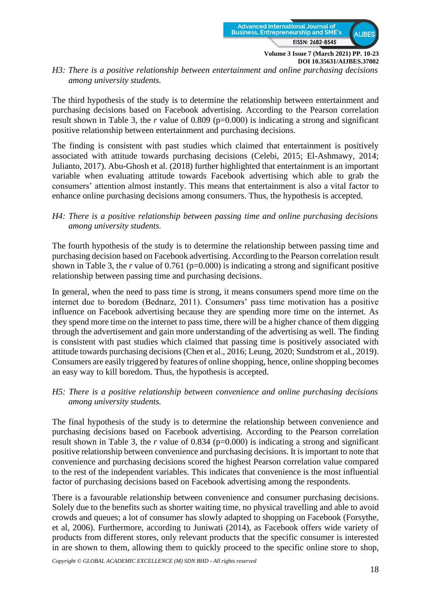

*H3: There is a positive relationship between entertainment and online purchasing decisions among university students.*

The third hypothesis of the study is to determine the relationship between entertainment and purchasing decisions based on Facebook advertising. According to the Pearson correlation result shown in Table 3, the *r* value of 0.809 (p=0.000) is indicating a strong and significant positive relationship between entertainment and purchasing decisions.

The finding is consistent with past studies which claimed that entertainment is positively associated with attitude towards purchasing decisions (Celebi, 2015; El-Ashmawy, 2014; Julianto, 2017). Abu-Ghosh et al. (2018) further highlighted that entertainment is an important variable when evaluating attitude towards Facebook advertising which able to grab the consumers' attention almost instantly. This means that entertainment is also a vital factor to enhance online purchasing decisions among consumers. Thus, the hypothesis is accepted.

#### *H4: There is a positive relationship between passing time and online purchasing decisions among university students.*

The fourth hypothesis of the study is to determine the relationship between passing time and purchasing decision based on Facebook advertising. According to the Pearson correlation result shown in Table 3, the  $r$  value of 0.761 ( $p=0.000$ ) is indicating a strong and significant positive relationship between passing time and purchasing decisions.

In general, when the need to pass time is strong, it means consumers spend more time on the internet due to boredom (Bednarz, 2011). Consumers' pass time motivation has a positive influence on Facebook advertising because they are spending more time on the internet. As they spend more time on the internet to pass time, there will be a higher chance of them digging through the advertisement and gain more understanding of the advertising as well. The finding is consistent with past studies which claimed that passing time is positively associated with attitude towards purchasing decisions (Chen et al., 2016; Leung, 2020; Sundstrom et al., 2019). Consumers are easily triggered by features of online shopping, hence, online shopping becomes an easy way to kill boredom. Thus, the hypothesis is accepted.

## *H5: There is a positive relationship between convenience and online purchasing decisions among university students.*

The final hypothesis of the study is to determine the relationship between convenience and purchasing decisions based on Facebook advertising. According to the Pearson correlation result shown in Table 3, the  $r$  value of 0.834 ( $p=0.000$ ) is indicating a strong and significant positive relationship between convenience and purchasing decisions. It is important to note that convenience and purchasing decisions scored the highest Pearson correlation value compared to the rest of the independent variables. This indicates that convenience is the most influential factor of purchasing decisions based on Facebook advertising among the respondents.

There is a favourable relationship between convenience and consumer purchasing decisions. Solely due to the benefits such as shorter waiting time, no physical travelling and able to avoid crowds and queues; a lot of consumer has slowly adapted to shopping on Facebook (Forsythe, et al, 2006). Furthermore, according to Juniwati (2014), as Facebook offers wide variety of products from different stores, only relevant products that the specific consumer is interested in are shown to them, allowing them to quickly proceed to the specific online store to shop,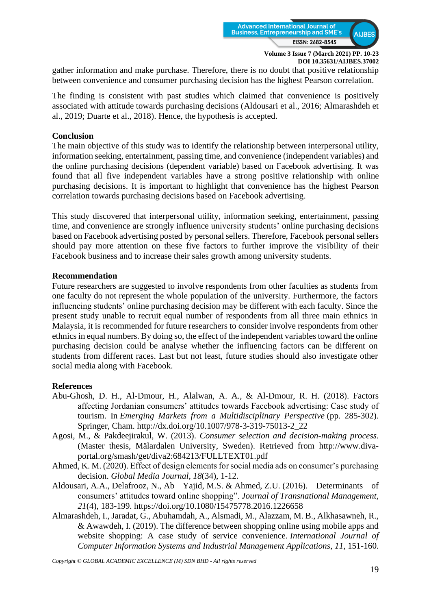

gather information and make purchase. Therefore, there is no doubt that positive relationship between convenience and consumer purchasing decision has the highest Pearson correlation.

The finding is consistent with past studies which claimed that convenience is positively associated with attitude towards purchasing decisions (Aldousari et al., 2016; Almarashdeh et al., 2019; Duarte et al., 2018). Hence, the hypothesis is accepted.

#### **Conclusion**

The main objective of this study was to identify the relationship between interpersonal utility, information seeking, entertainment, passing time, and convenience (independent variables) and the online purchasing decisions (dependent variable) based on Facebook advertising. It was found that all five independent variables have a strong positive relationship with online purchasing decisions. It is important to highlight that convenience has the highest Pearson correlation towards purchasing decisions based on Facebook advertising.

This study discovered that interpersonal utility, information seeking, entertainment, passing time, and convenience are strongly influence university students' online purchasing decisions based on Facebook advertising posted by personal sellers. Therefore, Facebook personal sellers should pay more attention on these five factors to further improve the visibility of their Facebook business and to increase their sales growth among university students.

#### **Recommendation**

Future researchers are suggested to involve respondents from other faculties as students from one faculty do not represent the whole population of the university. Furthermore, the factors influencing students' online purchasing decision may be different with each faculty. Since the present study unable to recruit equal number of respondents from all three main ethnics in Malaysia, it is recommended for future researchers to consider involve respondents from other ethnics in equal numbers. By doing so, the effect of the independent variables toward the online purchasing decision could be analyse whether the influencing factors can be different on students from different races. Last but not least, future studies should also investigate other social media along with Facebook.

## **References**

- Abu-Ghosh, D. H., Al-Dmour, H., Alalwan, A. A., & Al-Dmour, R. H. (2018). Factors affecting Jordanian consumers' attitudes towards Facebook advertising: Case study of tourism. In *Emerging Markets from a Multidisciplinary Perspective* (pp. 285-302). Springer, Cham. [http://dx.doi.org/10.1007/978-3-319-75013-2\\_22](http://dx.doi.org/10.1007/978-3-319-75013-2_22)
- Agosi, M., & Pakdeejirakul, W. (2013). *Consumer selection and decision-making process*. (Master thesis, Mälardalen University, Sweden). Retrieved from [http://www.diva](http://www.diva-portal.org/smash/get/diva2:684213/FULLTEXT01.pdf)[portal.org/smash/get/diva2:684213/FULLTEXT01.pdf](http://www.diva-portal.org/smash/get/diva2:684213/FULLTEXT01.pdf)
- Ahmed, K. M. (2020). Effect of design elements for social media ads on consumer's purchasing decision. *Global Media Journal*, *18*(34), 1-12.
- Aldousari, A.A., Delafrooz, N., Ab Yajid, M.S. & Ahmed, Z.U. (2016). Determinants of consumers' attitudes toward online shopping". *Journal of Transnational Management, 21*(4), 183-199.<https://doi.org/10.1080/15475778.2016.1226658>
- Almarashdeh, I., Jaradat, G., Abuhamdah, A., Alsmadi, M., Alazzam, M. B., Alkhasawneh, R., & Awawdeh, I. (2019). The difference between shopping online using mobile apps and website shopping: A case study of service convenience. *International Journal of Computer Information Systems and Industrial Management Applications*, *11*, 151-160.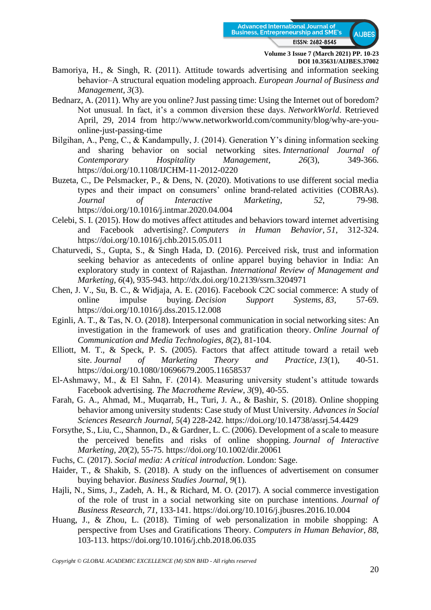

- Bamoriya, H., & Singh, R. (2011). Attitude towards advertising and information seeking behavior–A structural equation modeling approach. *European Journal of Business and Management*, *3*(3).
- Bednarz, A. (2011). Why are you online? Just passing time: Using the Internet out of boredom? Not unusual. In fact, it's a common diversion these days. *NetworkWorld*. Retrieved April, 29, 2014 from [http://www.networkworld.com/community/blog/why-are-you](http://www.networkworld.com/community/blog/why-are-you-online-just-passing-time)[online-just-passing-time](http://www.networkworld.com/community/blog/why-are-you-online-just-passing-time)
- Bilgihan, A., Peng, C., & Kandampully, J. (2014). Generation Y's dining information seeking and sharing behavior on social networking sites. *International Journal of Contemporary Hospitality Management, 26*(3), 349-366. <https://doi.org/10.1108/IJCHM-11-2012-0220>
- Buzeta, C., De Pelsmacker, P., & Dens, N. (2020). Motivations to use different social media types and their impact on consumers' online brand-related activities (COBRAs). *Journal of Interactive Marketing*, *52*, 79-98. <https://doi.org/10.1016/j.intmar.2020.04.004>
- Celebi, S. I. (2015). How do motives affect attitudes and behaviors toward internet advertising and Facebook advertising?. *Computers in Human Behavior*, *51*, 312-324. <https://doi.org/10.1016/j.chb.2015.05.011>
- Chaturvedi, S., Gupta, S., & Singh Hada, D. (2016). Perceived risk, trust and information seeking behavior as antecedents of online apparel buying behavior in India: An exploratory study in context of Rajasthan. *International Review of Management and Marketing*, *6*(4), 935-943.<http://dx.doi.org/10.2139/ssrn.3204971>
- Chen, J. V., Su, B. C., & Widjaja, A. E. (2016). Facebook C2C social commerce: A study of online impulse buying. *Decision Support Systems*, *83*, 57-69. <https://doi.org/10.1016/j.dss.2015.12.008>
- Eginli, A. T., & Tas, N. O. (2018). Interpersonal communication in social networking sites: An investigation in the framework of uses and gratification theory. *Online Journal of Communication and Media Technologies*, *8*(2), 81-104.
- Elliott, M. T., & Speck, P. S. (2005). Factors that affect attitude toward a retail web site. *Journal of Marketing Theory and Practice*, *13*(1), 40-51. <https://doi.org/10.1080/10696679.2005.11658537>
- El-Ashmawy, M., & El Sahn, F. (2014). Measuring university student's attitude towards Facebook advertising. *The Macrotheme Review*, *3*(9), 40-55.
- Farah, G. A., Ahmad, M., Muqarrab, H., Turi, J. A., & Bashir, S. (2018). Online shopping behavior among university students: Case study of Must University. *Advances in Social Sciences Research Journal, 5*(4) 228-242.<https://doi.org/10.14738/assrj.54.4429>
- Forsythe, S., Liu, C., Shannon, D., & Gardner, L. C. (2006). Development of a scale to measure the perceived benefits and risks of online shopping. *Journal of Interactive Marketing*, *20*(2), 55-75.<https://doi.org/10.1002/dir.20061>
- Fuchs, C. (2017). *Social media: A critical introduction*. London: Sage.
- Haider, T., & Shakib, S. (2018). A study on the influences of advertisement on consumer buying behavior. *Business Studies Journal, 9*(1).
- Hajli, N., Sims, J., Zadeh, A. H., & Richard, M. O. (2017). A social commerce investigation of the role of trust in a social networking site on purchase intentions. *Journal of Business Research*, *71*, 133-141.<https://doi.org/10.1016/j.jbusres.2016.10.004>
- Huang, J., & Zhou, L. (2018). Timing of web personalization in mobile shopping: A perspective from Uses and Gratifications Theory. *Computers in Human Behavior*, *88*, 103-113.<https://doi.org/10.1016/j.chb.2018.06.035>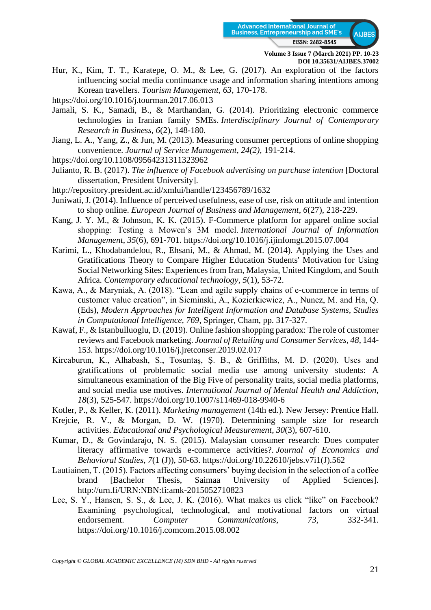

Hur, K., Kim, T. T., Karatepe, O. M., & Lee, G. (2017). An exploration of the factors influencing social media continuance usage and information sharing intentions among Korean travellers. *Tourism Management*, *63*, 170-178.

<https://doi.org/10.1016/j.tourman.2017.06.013>

- Jamali, S. K., Samadi, B., & Marthandan, G. (2014). Prioritizing electronic commerce technologies in Iranian family SMEs. *Interdisciplinary Journal of Contemporary Research in Business*, *6*(2), 148-180.
- Jiang, L. A., Yang, Z., & Jun, M. (2013). Measuring consumer perceptions of online shopping convenience. *Journal of Service Management, 24(2),* 191-214.
- <https://doi.org/10.1108/09564231311323962>
- Julianto, R. B. (2017). *The influence of Facebook advertising on purchase intention* [Doctoral dissertation, President University].
- <http://repository.president.ac.id/xmlui/handle/123456789/1632>
- Juniwati, J. (2014). Influence of perceived usefulness, ease of use, risk on attitude and intention to shop online. *European Journal of Business and Management*, *6*(27), 218-229.
- Kang, J. Y. M., & Johnson, K. K. (2015). F-Commerce platform for apparel online social shopping: Testing a Mowen's 3M model. *International Journal of Information Management*, *35*(6), 691-701.<https://doi.org/10.1016/j.ijinfomgt.2015.07.004>
- Karimi, L., Khodabandelou, R., Ehsani, M., & Ahmad, M. (2014). Applying the Uses and Gratifications Theory to Compare Higher Education Students' Motivation for Using Social Networking Sites: Experiences from Iran, Malaysia, United Kingdom, and South Africa. *Contemporary educational technology*, *5*(1), 53-72.
- Kawa, A., & Maryniak, A. (2018). "Lean and agile supply chains of e-commerce in terms of customer value creation", in Sieminski, A., Kozierkiewicz, A., Nunez, M. and Ha, Q. (Eds), *Modern Approaches for Intelligent Information and Database Systems, Studies in Computational Intelligence, 769*, Springer, Cham, pp. 317-327.
- Kawaf, F., & Istanbulluoglu, D. (2019). Online fashion shopping paradox: The role of customer reviews and Facebook marketing. *Journal of Retailing and Consumer Services*, *48*, 144- 153.<https://doi.org/10.1016/j.jretconser.2019.02.017>
- Kircaburun, K., Alhabash, S., Tosuntaş, Ş. B., & Griffiths, M. D. (2020). Uses and gratifications of problematic social media use among university students: A simultaneous examination of the Big Five of personality traits, social media platforms, and social media use motives. *International Journal of Mental Health and Addiction*, *18*(3), 525-547.<https://doi.org/10.1007/s11469-018-9940-6>
- Kotler, P., & Keller, K. (2011). *Marketing management* (14th ed.)*.* New Jersey: Prentice Hall.
- Krejcie, R. V., & Morgan, D. W. (1970). Determining sample size for research activities. *Educational and Psychological Measurement*, *30*(3), 607-610.
- Kumar, D., & Govindarajo, N. S. (2015). Malaysian consumer research: Does computer literacy affirmative towards e-commerce activities?. *Journal of Economics and Behavioral Studies*, *7*(1 (J)), 50-63. [https://doi.org/10.22610/jebs.v7i1\(J\).562](https://doi.org/10.22610/jebs.v7i1(J).562)
- Lautiainen, T. (2015). Factors affecting consumers' buying decision in the selection of a coffee brand [Bachelor Thesis, Saimaa University of Applied Sciences]. <http://urn.fi/URN:NBN:fi:amk-2015052710823>
- Lee, S. Y., Hansen, S. S., & Lee, J. K. (2016). What makes us click "like" on Facebook? Examining psychological, technological, and motivational factors on virtual endorsement. *Computer Communications*, *73*, 332-341. <https://doi.org/10.1016/j.comcom.2015.08.002>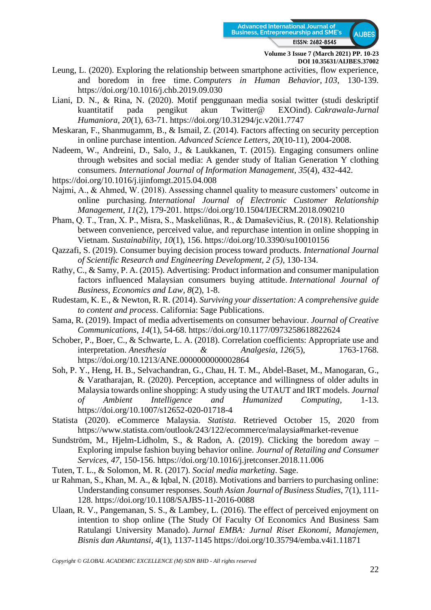

- Leung, L. (2020). Exploring the relationship between smartphone activities, flow experience, and boredom in free time. *Computers in Human Behavior*, *103*, 130-139. <https://doi.org/10.1016/j.chb.2019.09.030>
- Liani, D. N., & Rina, N. (2020). Motif penggunaan media sosial twitter (studi deskriptif kuantitatif pada pengikut akun Twitter@ EXOind). *Cakrawala-Jurnal Humaniora*, *20*(1), 63-71.<https://doi.org/10.31294/jc.v20i1.7747>
- Meskaran, F., Shanmugamm, B., & Ismail, Z. (2014). Factors affecting on security perception in online purchase intention. *Advanced Science Letters*, *20*(10-11), 2004-2008.
- Nadeem, W., Andreini, D., Salo, J., & Laukkanen, T. (2015). Engaging consumers online through websites and social media: A gender study of Italian Generation Y clothing consumers. *International Journal of Information Management*, *35*(4), 432-442.
- <https://doi.org/10.1016/j.ijinfomgt.2015.04.008>
- Najmi, A., & Ahmed, W. (2018). Assessing channel quality to measure customers' outcome in online purchasing. *International Journal of Electronic Customer Relationship Management*, *11*(2), 179-201.<https://doi.org/10.1504/IJECRM.2018.090210>
- Pham, Q. T., Tran, X. P., Misra, S., Maskeliūnas, R., & Damaševičius, R. (2018). Relationship between convenience, perceived value, and repurchase intention in online shopping in Vietnam. *Sustainability*, *10*(1), 156.<https://doi.org/10.3390/su10010156>
- Qazzafi, S. (2019). Consumer buying decision process toward products. *International Journal of Scientific Research and Engineering Development, 2 (5)*, 130-134.
- Rathy, C., & Samy, P. A. (2015). Advertising: Product information and consumer manipulation factors influenced Malaysian consumers buying attitude. *International Journal of Business, Economics and Law*, *8*(2), 1-8.
- Rudestam, K. E., & Newton, R. R. (2014). *Surviving your dissertation: A comprehensive guide to content and process*. California: Sage Publications.
- Sama, R. (2019). Impact of media advertisements on consumer behaviour. *Journal of Creative Communications*, *14*(1), 54-68.<https://doi.org/10.1177/0973258618822624>
- Schober, P., Boer, C., & Schwarte, L. A. (2018). Correlation coefficients: Appropriate use and interpretation. *Anesthesia* & *Analgesia*, *126*(5), 1763-1768. <https://doi.org/10.1213/ANE.0000000000002864>
- Soh, P. Y., Heng, H. B., Selvachandran, G., Chau, H. T. M., Abdel-Baset, M., Manogaran, G., & Varatharajan, R. (2020). Perception, acceptance and willingness of older adults in Malaysia towards online shopping: A study using the UTAUT and IRT models. *Journal of Ambient Intelligence and Humanized Computing*, 1-13. <https://doi.org/10.1007/s12652-020-01718-4>
- Statista (2020). eCommerce Malaysia. *Statista*. Retrieved October 15, 2020 from <https://www.statista.com/outlook/243/122/ecommerce/malaysia#market-revenue>
- Sundström, M., Hjelm-Lidholm, S., & Radon, A. (2019). Clicking the boredom away Exploring impulse fashion buying behavior online. *Journal of Retailing and Consumer Services*, *47*, 150-156.<https://doi.org/10.1016/j.jretconser.2018.11.006>
- Tuten, T. L., & Solomon, M. R. (2017). *Social media marketing*. Sage.
- ur Rahman, S., Khan, M. A., & Iqbal, N. (2018). Motivations and barriers to purchasing online: Understanding consumer responses. *South Asian Journal of Business Studies*, 7(1), 111- 128.<https://doi.org/10.1108/SAJBS-11-2016-0088>
- Ulaan, R. V., Pangemanan, S. S., & Lambey, L. (2016). The effect of perceived enjoyment on intention to shop online (The Study Of Faculty Of Economics And Business Sam Ratulangi University Manado). *Jurnal EMBA: Jurnal Riset Ekonomi, Manajemen, Bisnis dan Akuntansi*, *4*(1), 1137-1145<https://doi.org/10.35794/emba.v4i1.11871>